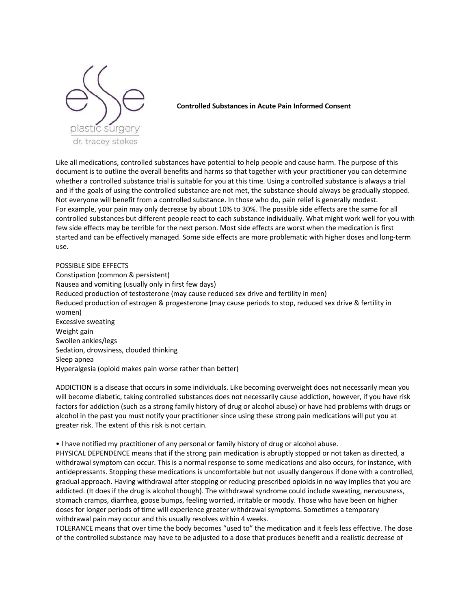

**Controlled Substances in Acute Pain Informed Consent** 

Like all medications, controlled substances have potential to help people and cause harm. The purpose of this document is to outline the overall benefits and harms so that together with your practitioner you can determine whether a controlled substance trial is suitable for you at this time. Using a controlled substance is always a trial and if the goals of using the controlled substance are not met, the substance should always be gradually stopped. Not everyone will benefit from a controlled substance. In those who do, pain relief is generally modest. For example, your pain may only decrease by about 10% to 30%. The possible side effects are the same for all controlled substances but different people react to each substance individually. What might work well for you with few side effects may be terrible for the next person. Most side effects are worst when the medication is first started and can be effectively managed. Some side effects are more problematic with higher doses and long-term use.

POSSIBLE SIDE EFFECTS Constipation (common & persistent) Nausea and vomiting (usually only in first few days) Reduced production of testosterone (may cause reduced sex drive and fertility in men) Reduced production of estrogen & progesterone (may cause periods to stop, reduced sex drive & fertility in women) Excessive sweating Weight gain Swollen ankles/legs Sedation, drowsiness, clouded thinking Sleep apnea Hyperalgesia (opioid makes pain worse rather than better)

ADDICTION is a disease that occurs in some individuals. Like becoming overweight does not necessarily mean you will become diabetic, taking controlled substances does not necessarily cause addiction, however, if you have risk factors for addiction (such as a strong family history of drug or alcohol abuse) or have had problems with drugs or alcohol in the past you must notify your practitioner since using these strong pain medications will put you at greater risk. The extent of this risk is not certain.

• I have notified my practitioner of any personal or family history of drug or alcohol abuse.

PHYSICAL DEPENDENCE means that if the strong pain medication is abruptly stopped or not taken as directed, a withdrawal symptom can occur. This is a normal response to some medications and also occurs, for instance, with antidepressants. Stopping these medications is uncomfortable but not usually dangerous if done with a controlled, gradual approach. Having withdrawal after stopping or reducing prescribed opioids in no way implies that you are addicted. (It does if the drug is alcohol though). The withdrawal syndrome could include sweating, nervousness, stomach cramps, diarrhea, goose bumps, feeling worried, irritable or moody. Those who have been on higher doses for longer periods of time will experience greater withdrawal symptoms. Sometimes a temporary withdrawal pain may occur and this usually resolves within 4 weeks.

TOLERANCE means that over time the body becomes "used to" the medication and it feels less effective. The dose of the controlled substance may have to be adjusted to a dose that produces benefit and a realistic decrease of